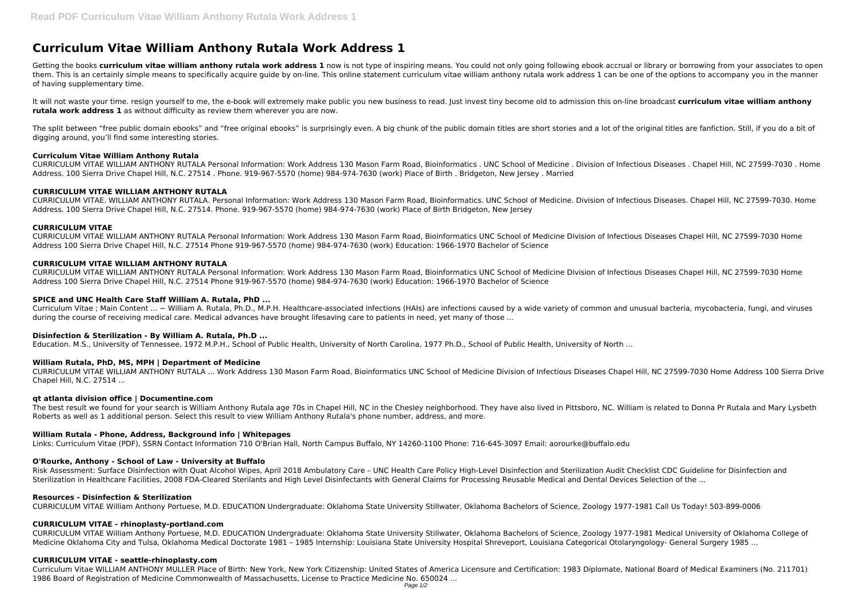# **Curriculum Vitae William Anthony Rutala Work Address 1**

Getting the books curriculum vitae william anthony rutala work address 1 now is not type of inspiring means. You could not only going following ebook accrual or library or borrowing from your associates to open them. This is an certainly simple means to specifically acquire guide by on-line. This online statement curriculum vitae william anthony rutala work address 1 can be one of the options to accompany you in the manner of having supplementary time.

The split between "free public domain ebooks" and "free original ebooks" is surprisingly even. A big chunk of the public domain titles are short stories and a lot of the original titles are fanfiction. Still, if you do a b digging around, you'll find some interesting stories.

It will not waste your time. resign yourself to me, the e-book will extremely make public you new business to read. Just invest tiny become old to admission this on-line broadcast **curriculum vitae william anthony rutala work address 1** as without difficulty as review them wherever you are now.

# **Curriculum Vitae William Anthony Rutala**

CURRICULUM VITAE WILLIAM ANTHONY RUTALA Personal Information: Work Address 130 Mason Farm Road, Bioinformatics . UNC School of Medicine . Division of Infectious Diseases . Chapel Hill, NC 27599-7030 . Home Address. 100 Sierra Drive Chapel Hill, N.C. 27514 . Phone. 919-967-5570 (home) 984-974-7630 (work) Place of Birth . Bridgeton, New Jersey . Married

Curriculum Vitae : Main Content ... ~ William A. Rutala, Ph.D., M.P.H. Healthcare-associated infections (HAIs) are infections caused by a wide variety of common and unusual bacteria, mycobacteria, fungi, and viruses during the course of receiving medical care. Medical advances have brought lifesaving care to patients in need, yet many of those ...

# **CURRICULUM VITAE WILLIAM ANTHONY RUTALA**

CURRICULUM VITAE. WILLIAM ANTHONY RUTALA. Personal Information: Work Address 130 Mason Farm Road, Bioinformatics. UNC School of Medicine. Division of Infectious Diseases. Chapel Hill, NC 27599-7030. Home Address. 100 Sierra Drive Chapel Hill, N.C. 27514. Phone. 919-967-5570 (home) 984-974-7630 (work) Place of Birth Bridgeton, New Jersey

# **CURRICULUM VITAE**

CURRICULUM VITAE WILLIAM ANTHONY RUTALA Personal Information: Work Address 130 Mason Farm Road, Bioinformatics UNC School of Medicine Division of Infectious Diseases Chapel Hill, NC 27599-7030 Home Address 100 Sierra Drive Chapel Hill, N.C. 27514 Phone 919-967-5570 (home) 984-974-7630 (work) Education: 1966-1970 Bachelor of Science

# **CURRICULUM VITAE WILLIAM ANTHONY RUTALA**

CURRICULUM VITAE William Anthony Portuese, M.D. EDUCATION Undergraduate: Oklahoma State University Stillwater, Oklahoma Bachelors of Science, Zoology 1977-1981 Medical University of Oklahoma College of Medicine Oklahoma City and Tulsa, Oklahoma Medical Doctorate 1981 – 1985 Internship: Louisiana State University Hospital Shreveport, Louisiana Categorical Otolaryngology- General Surgery 1985 ...

CURRICULUM VITAE WILLIAM ANTHONY RUTALA Personal Information: Work Address 130 Mason Farm Road, Bioinformatics UNC School of Medicine Division of Infectious Diseases Chapel Hill, NC 27599-7030 Home Address 100 Sierra Drive Chapel Hill, N.C. 27514 Phone 919-967-5570 (home) 984-974-7630 (work) Education: 1966-1970 Bachelor of Science

# **SPICE and UNC Health Care Staff William A. Rutala, PhD ...**

## **Disinfection & Sterilization - By William A. Rutala, Ph.D ...**

Education. M.S., University of Tennessee, 1972 M.P.H., School of Public Health, University of North Carolina, 1977 Ph.D., School of Public Health, University of North ...

# **William Rutala, PhD, MS, MPH | Department of Medicine**

CURRICULUM VITAE WILLIAM ANTHONY RUTALA ... Work Address 130 Mason Farm Road, Bioinformatics UNC School of Medicine Division of Infectious Diseases Chapel Hill, NC 27599-7030 Home Address 100 Sierra Drive Chapel Hill, N.C. 27514 ...

# **qt atlanta division office | Documentine.com**

The best result we found for your search is William Anthony Rutala age 70s in Chapel Hill, NC in the Chesley neighborhood. They have also lived in Pittsboro, NC. William is related to Donna Pr Rutala and Mary Lysbeth Roberts as well as 1 additional person. Select this result to view William Anthony Rutala's phone number, address, and more.

## **William Rutala - Phone, Address, Background info | Whitepages**

Links: Curriculum Vitae (PDF), SSRN Contact Information 710 O'Brian Hall, North Campus Buffalo, NY 14260-1100 Phone: 716-645-3097 Email: aorourke@buffalo.edu

# **O'Rourke, Anthony - School of Law - University at Buffalo**

Risk Assessment: Surface Disinfection with Quat Alcohol Wipes, April 2018 Ambulatory Care – UNC Health Care Policy High-Level Disinfection and Sterilization Audit Checklist CDC Guideline for Disinfection and Sterilization in Healthcare Facilities, 2008 FDA-Cleared Sterilants and High Level Disinfectants with General Claims for Processing Reusable Medical and Dental Devices Selection of the ...

## **Resources - Disinfection & Sterilization**

CURRICULUM VITAE William Anthony Portuese, M.D. EDUCATION Undergraduate: Oklahoma State University Stillwater, Oklahoma Bachelors of Science, Zoology 1977-1981 Call Us Today! 503-899-0006

# **CURRICULUM VITAE - rhinoplasty-portland.com**

## **CURRICULUM VITAE - seattle-rhinoplasty.com**

Curriculum Vitae WILLIAM ANTHONY MULLER Place of Birth: New York, New York Citizenship: United States of America Licensure and Certification: 1983 Diplomate, National Board of Medical Examiners (No. 211701) 1986 Board of Registration of Medicine Commonwealth of Massachusetts, License to Practice Medicine No. 650024 ...